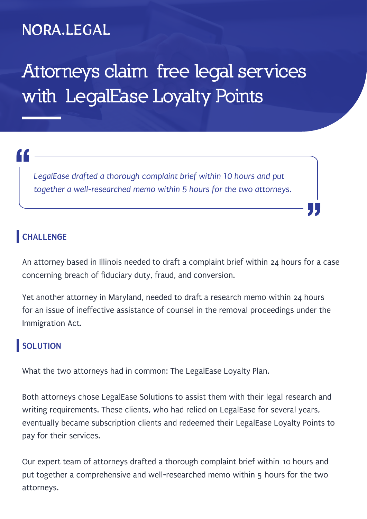### NORA.LEGAL

## **Attorneys claim free legal services with LegalEase Loyalty Points**

# "<br>|<br>|

*LegalEase drafted a thorough complaint brief within 10 hours and put together a well-researched memo within 5 hours for the two attorneys.*

#### **CHALLENGE**

An attorney based in Illinois needed to draft a complaint brief within 24 hours for a case concerning breach of fiduciary duty, fraud, and conversion.

"<br>"<br>"

Yet another attorney in Maryland, needed to draft a research memo within 24 hours for an issue of ineffective assistance of counsel in the removal proceedings under the Immigration Act.

#### **SOLUTION**

What the two attorneys had in common: The LegalEase Loyalty Plan.

Both attorneys chose LegalEase Solutions to assist them with their legal research and writing requirements. These clients, who had relied on LegalEase for several years, eventually became subscription clients and redeemed their LegalEase Loyalty Points to pay for their services.

Our expert team of attorneys drafted a thorough complaint brief within 10 hours and put together a comprehensive and well-researched memo within 5 hours for the two attorneys.